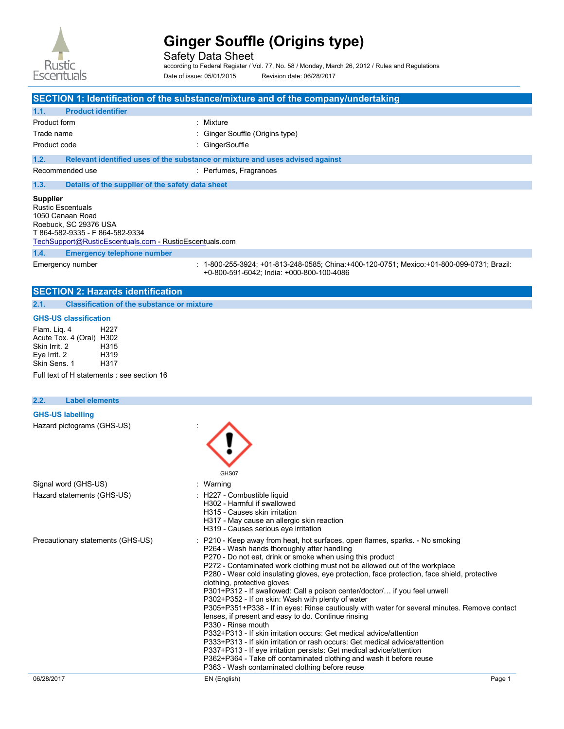

Safety Data Sheet

according to Federal Register / Vol. 77, No. 58 / Monday, March 26, 2012 / Rules and Regulations Date of issue: 05/01/2015 Revision date: 06/28/2017

|                                                                                                                                                                                        | SECTION 1: Identification of the substance/mixture and of the company/undertaking                                                      |
|----------------------------------------------------------------------------------------------------------------------------------------------------------------------------------------|----------------------------------------------------------------------------------------------------------------------------------------|
| 1.1.<br><b>Product identifier</b>                                                                                                                                                      |                                                                                                                                        |
| Product form                                                                                                                                                                           | : Mixture                                                                                                                              |
| Trade name                                                                                                                                                                             | : Ginger Souffle (Origins type)                                                                                                        |
| Product code                                                                                                                                                                           | : GingerSouffle                                                                                                                        |
| 1.2.                                                                                                                                                                                   | Relevant identified uses of the substance or mixture and uses advised against                                                          |
| Recommended use                                                                                                                                                                        | : Perfumes, Fragrances                                                                                                                 |
| 1.3.<br>Details of the supplier of the safety data sheet                                                                                                                               |                                                                                                                                        |
| <b>Supplier</b><br><b>Rustic Escentuals</b><br>1050 Canaan Road<br>Roebuck, SC 29376 USA<br>T 864-582-9335 - F 864-582-9334<br>TechSupport@RusticEscentuals.com - RusticEscentuals.com |                                                                                                                                        |
| 1.4.<br><b>Emergency telephone number</b>                                                                                                                                              |                                                                                                                                        |
| Emergency number                                                                                                                                                                       | : 1-800-255-3924; +01-813-248-0585; China:+400-120-0751; Mexico:+01-800-099-0731; Brazil:<br>+0-800-591-6042: India: +000-800-100-4086 |

# **SECTION 2: Hazards identification**

**2.1. Classification of the substance or mixture** 

## **GHS-US classification**

Flam. Liq. 4 H227 Acute Tox. 4 (Oral) H302<br>Skin Irrit. 2 H315 Skin Irrit. 2 <br>
Eye Irrit. 2 H319 Eye Irrit. 2 H319 Skin Sens. 1

Full text of H statements : see section 16

| <b>Label elements</b><br>2.2.     |                                                                                                                                                                                                                                                                                                                                                                                                                                                                                                                                                                                                                                                                                                                                                                                                                                                                                                                                                                                                                                                                              |
|-----------------------------------|------------------------------------------------------------------------------------------------------------------------------------------------------------------------------------------------------------------------------------------------------------------------------------------------------------------------------------------------------------------------------------------------------------------------------------------------------------------------------------------------------------------------------------------------------------------------------------------------------------------------------------------------------------------------------------------------------------------------------------------------------------------------------------------------------------------------------------------------------------------------------------------------------------------------------------------------------------------------------------------------------------------------------------------------------------------------------|
| <b>GHS-US labelling</b>           |                                                                                                                                                                                                                                                                                                                                                                                                                                                                                                                                                                                                                                                                                                                                                                                                                                                                                                                                                                                                                                                                              |
| Hazard pictograms (GHS-US)        | GHS07                                                                                                                                                                                                                                                                                                                                                                                                                                                                                                                                                                                                                                                                                                                                                                                                                                                                                                                                                                                                                                                                        |
| Signal word (GHS-US)              | : Warning                                                                                                                                                                                                                                                                                                                                                                                                                                                                                                                                                                                                                                                                                                                                                                                                                                                                                                                                                                                                                                                                    |
| Hazard statements (GHS-US)        | : H227 - Combustible liquid<br>H302 - Harmful if swallowed<br>H315 - Causes skin irritation<br>H317 - May cause an allergic skin reaction<br>H319 - Causes serious eye irritation                                                                                                                                                                                                                                                                                                                                                                                                                                                                                                                                                                                                                                                                                                                                                                                                                                                                                            |
| Precautionary statements (GHS-US) | : P210 - Keep away from heat, hot surfaces, open flames, sparks. - No smoking<br>P264 - Wash hands thoroughly after handling<br>P270 - Do not eat, drink or smoke when using this product<br>P272 - Contaminated work clothing must not be allowed out of the workplace<br>P280 - Wear cold insulating gloves, eye protection, face protection, face shield, protective<br>clothing, protective gloves<br>P301+P312 - If swallowed: Call a poison center/doctor/ if you feel unwell<br>P302+P352 - If on skin: Wash with plenty of water<br>P305+P351+P338 - If in eyes: Rinse cautiously with water for several minutes. Remove contact<br>lenses, if present and easy to do. Continue rinsing<br>P330 - Rinse mouth<br>P332+P313 - If skin irritation occurs: Get medical advice/attention<br>P333+P313 - If skin irritation or rash occurs: Get medical advice/attention<br>P337+P313 - If eye irritation persists: Get medical advice/attention<br>P362+P364 - Take off contaminated clothing and wash it before reuse<br>P363 - Wash contaminated clothing before reuse |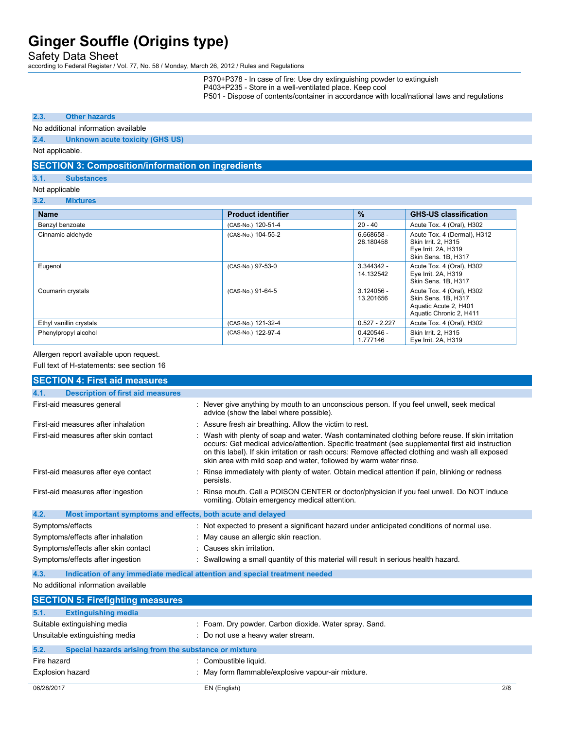Safety Data Sheet

according to Federal Register / Vol. 77, No. 58 / Monday, March 26, 2012 / Rules and Regulations

P370+P378 - In case of fire: Use dry extinguishing powder to extinguish

P403+P235 - Store in a well-ventilated place. Keep cool

P501 - Dispose of contents/container in accordance with local/national laws and regulations

### **2.3. Other hazards**

### No additional information available

#### **2.4. Unknown acute toxicity (GHS US)**

Not applicable.

# **SECTION 3: Composition/information on ingredients**

#### **3.1. Substances**

### Not applicable

#### **3.2. Mixtures**

| <b>Name</b>             | <b>Product identifier</b> | $\frac{9}{6}$             | <b>GHS-US classification</b>                                                                         |
|-------------------------|---------------------------|---------------------------|------------------------------------------------------------------------------------------------------|
| Benzyl benzoate         | (CAS-No.) 120-51-4        | $20 - 40$                 | Acute Tox. 4 (Oral), H302                                                                            |
| Cinnamic aldehyde       | (CAS-No.) 104-55-2        | 6.668658 -<br>28.180458   | Acute Tox. 4 (Dermal), H312<br>Skin Irrit. 2. H315<br>Eye Irrit. 2A, H319<br>Skin Sens. 1B, H317     |
| Eugenol                 | (CAS-No.) 97-53-0         | $3.344342 -$<br>14.132542 | Acute Tox. 4 (Oral), H302<br>Eye Irrit. 2A, H319<br>Skin Sens. 1B, H317                              |
| Coumarin crystals       | (CAS-No.) 91-64-5         | $3.124056 -$<br>13.201656 | Acute Tox. 4 (Oral), H302<br>Skin Sens, 1B, H317<br>Aquatic Acute 2, H401<br>Aquatic Chronic 2, H411 |
| Ethyl vanillin crystals | (CAS-No.) 121-32-4        | $0.527 - 2.227$           | Acute Tox. 4 (Oral), H302                                                                            |
| Phenylpropyl alcohol    | (CAS-No.) 122-97-4        | $0.420546 -$<br>1.777146  | Skin Irrit. 2, H315<br>Eye Irrit. 2A, H319                                                           |

#### Allergen report available upon request.

Full text of H-statements: see section 16

| <b>SECTION 4: First aid measures</b>                                |                                                                                                                                                                                                                                                                                                                                                                                |     |
|---------------------------------------------------------------------|--------------------------------------------------------------------------------------------------------------------------------------------------------------------------------------------------------------------------------------------------------------------------------------------------------------------------------------------------------------------------------|-----|
| <b>Description of first aid measures</b><br>4.1.                    |                                                                                                                                                                                                                                                                                                                                                                                |     |
| First-aid measures general                                          | : Never give anything by mouth to an unconscious person. If you feel unwell, seek medical<br>advice (show the label where possible).                                                                                                                                                                                                                                           |     |
| First-aid measures after inhalation                                 | : Assure fresh air breathing. Allow the victim to rest.                                                                                                                                                                                                                                                                                                                        |     |
| First-aid measures after skin contact                               | : Wash with plenty of soap and water. Wash contaminated clothing before reuse. If skin irritation<br>occurs: Get medical advice/attention. Specific treatment (see supplemental first aid instruction<br>on this label). If skin irritation or rash occurs: Remove affected clothing and wash all exposed<br>skin area with mild soap and water, followed by warm water rinse. |     |
| First-aid measures after eye contact                                | Rinse immediately with plenty of water. Obtain medical attention if pain, blinking or redness<br>persists.                                                                                                                                                                                                                                                                     |     |
| First-aid measures after ingestion                                  | : Rinse mouth. Call a POISON CENTER or doctor/physician if you feel unwell. Do NOT induce<br>vomiting. Obtain emergency medical attention.                                                                                                                                                                                                                                     |     |
| 4.2.<br>Most important symptoms and effects, both acute and delayed |                                                                                                                                                                                                                                                                                                                                                                                |     |
| Symptoms/effects                                                    | : Not expected to present a significant hazard under anticipated conditions of normal use.                                                                                                                                                                                                                                                                                     |     |
| Symptoms/effects after inhalation                                   | : May cause an allergic skin reaction.                                                                                                                                                                                                                                                                                                                                         |     |
| Symptoms/effects after skin contact                                 | : Causes skin irritation.                                                                                                                                                                                                                                                                                                                                                      |     |
| Symptoms/effects after ingestion                                    | : Swallowing a small quantity of this material will result in serious health hazard.                                                                                                                                                                                                                                                                                           |     |
| 4.3.                                                                | Indication of any immediate medical attention and special treatment needed                                                                                                                                                                                                                                                                                                     |     |
| No additional information available                                 |                                                                                                                                                                                                                                                                                                                                                                                |     |
| <b>SECTION 5: Firefighting measures</b>                             |                                                                                                                                                                                                                                                                                                                                                                                |     |
| <b>Extinguishing media</b><br>5.1.                                  |                                                                                                                                                                                                                                                                                                                                                                                |     |
| Suitable extinguishing media                                        | : Foam. Dry powder. Carbon dioxide. Water spray. Sand.                                                                                                                                                                                                                                                                                                                         |     |
| Unsuitable extinguishing media                                      | : Do not use a heavy water stream.                                                                                                                                                                                                                                                                                                                                             |     |
| Special hazards arising from the substance or mixture<br>5.2.       |                                                                                                                                                                                                                                                                                                                                                                                |     |
| Fire hazard                                                         | : Combustible liquid.                                                                                                                                                                                                                                                                                                                                                          |     |
| Explosion hazard                                                    | : May form flammable/explosive vapour-air mixture.                                                                                                                                                                                                                                                                                                                             |     |
| 06/28/2017                                                          | EN (English)                                                                                                                                                                                                                                                                                                                                                                   | 2/8 |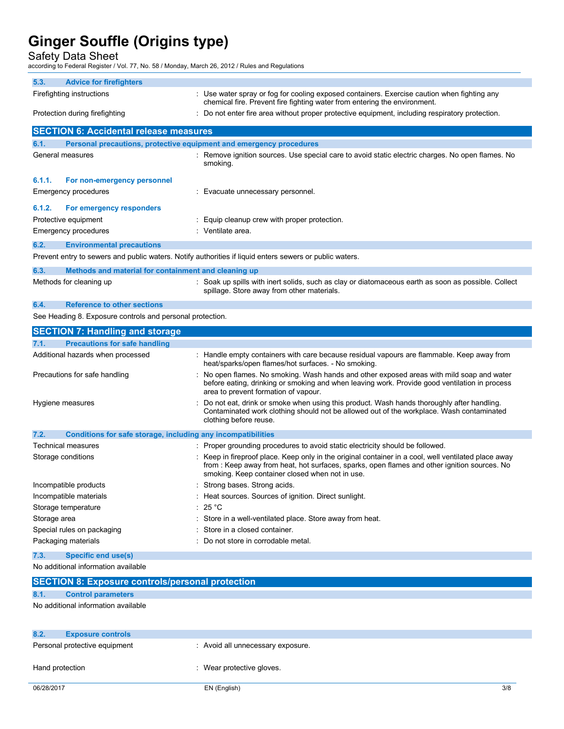Safety Data Sheet

according to Federal Register / Vol. 77, No. 58 / Monday, March 26, 2012 / Rules and Regulations

|              | ccording to Federal Register / Vol. 77, No. 58 / Monday, March 26, 2012 / Rules and Regulations |                                                                                                                                                                                                                                                        |
|--------------|-------------------------------------------------------------------------------------------------|--------------------------------------------------------------------------------------------------------------------------------------------------------------------------------------------------------------------------------------------------------|
| 5.3.         | <b>Advice for firefighters</b>                                                                  |                                                                                                                                                                                                                                                        |
|              | Firefighting instructions                                                                       | : Use water spray or fog for cooling exposed containers. Exercise caution when fighting any<br>chemical fire. Prevent fire fighting water from entering the environment.                                                                               |
|              | Protection during firefighting                                                                  | Do not enter fire area without proper protective equipment, including respiratory protection.                                                                                                                                                          |
|              | <b>SECTION 6: Accidental release measures</b>                                                   |                                                                                                                                                                                                                                                        |
| 6.1.         |                                                                                                 | Personal precautions, protective equipment and emergency procedures                                                                                                                                                                                    |
|              | General measures                                                                                | : Remove ignition sources. Use special care to avoid static electric charges. No open flames. No<br>smoking.                                                                                                                                           |
| 6.1.1.       | For non-emergency personnel                                                                     |                                                                                                                                                                                                                                                        |
|              | Emergency procedures                                                                            | : Evacuate unnecessary personnel.                                                                                                                                                                                                                      |
| 6.1.2.       | For emergency responders                                                                        |                                                                                                                                                                                                                                                        |
|              | Protective equipment                                                                            | Equip cleanup crew with proper protection.                                                                                                                                                                                                             |
|              | Emergency procedures                                                                            | : Ventilate area.                                                                                                                                                                                                                                      |
| 6.2.         | <b>Environmental precautions</b>                                                                |                                                                                                                                                                                                                                                        |
|              |                                                                                                 | Prevent entry to sewers and public waters. Notify authorities if liquid enters sewers or public waters.                                                                                                                                                |
| 6.3.         | Methods and material for containment and cleaning up                                            |                                                                                                                                                                                                                                                        |
|              | Methods for cleaning up                                                                         | : Soak up spills with inert solids, such as clay or diatomaceous earth as soon as possible. Collect<br>spillage. Store away from other materials.                                                                                                      |
| 6.4.         | <b>Reference to other sections</b>                                                              |                                                                                                                                                                                                                                                        |
|              | See Heading 8. Exposure controls and personal protection.                                       |                                                                                                                                                                                                                                                        |
|              | <b>SECTION 7: Handling and storage</b>                                                          |                                                                                                                                                                                                                                                        |
| 7.1.         | <b>Precautions for safe handling</b>                                                            |                                                                                                                                                                                                                                                        |
|              | Additional hazards when processed                                                               | : Handle empty containers with care because residual vapours are flammable. Keep away from<br>heat/sparks/open flames/hot surfaces. - No smoking.                                                                                                      |
|              | Precautions for safe handling                                                                   | No open flames. No smoking. Wash hands and other exposed areas with mild soap and water<br>before eating, drinking or smoking and when leaving work. Provide good ventilation in process<br>area to prevent formation of vapour.                       |
|              | Hygiene measures                                                                                | Do not eat, drink or smoke when using this product. Wash hands thoroughly after handling.<br>Contaminated work clothing should not be allowed out of the workplace. Wash contaminated<br>clothing before reuse.                                        |
| 7.2.         | Conditions for safe storage, including any incompatibilities                                    |                                                                                                                                                                                                                                                        |
|              | Technical measures                                                                              | : Proper grounding procedures to avoid static electricity should be followed.                                                                                                                                                                          |
|              | Storage conditions                                                                              | : Keep in fireproof place. Keep only in the original container in a cool, well ventilated place away<br>from: Keep away from heat, hot surfaces, sparks, open flames and other ignition sources. No<br>smoking. Keep container closed when not in use. |
|              | Incompatible products                                                                           | : Strong bases. Strong acids.                                                                                                                                                                                                                          |
|              | Incompatible materials                                                                          | Heat sources. Sources of ignition. Direct sunlight.                                                                                                                                                                                                    |
|              | Storage temperature                                                                             | 25 °C                                                                                                                                                                                                                                                  |
| Storage area |                                                                                                 | Store in a well-ventilated place. Store away from heat.                                                                                                                                                                                                |
|              | Special rules on packaging                                                                      | Store in a closed container.                                                                                                                                                                                                                           |
|              | Packaging materials                                                                             | Do not store in corrodable metal.                                                                                                                                                                                                                      |
| 7.3.         | <b>Specific end use(s)</b>                                                                      |                                                                                                                                                                                                                                                        |

No additional information available

|                 | <b>SECTION 8: Exposure controls/personal protection</b> |                                   |
|-----------------|---------------------------------------------------------|-----------------------------------|
| 8.1.            | <b>Control parameters</b>                               |                                   |
|                 | No additional information available                     |                                   |
|                 |                                                         |                                   |
|                 |                                                         |                                   |
| 8.2.            | <b>Exposure controls</b>                                |                                   |
|                 | Personal protective equipment                           | : Avoid all unnecessary exposure. |
|                 |                                                         |                                   |
| Hand protection |                                                         | : Wear protective gloves.         |
|                 |                                                         |                                   |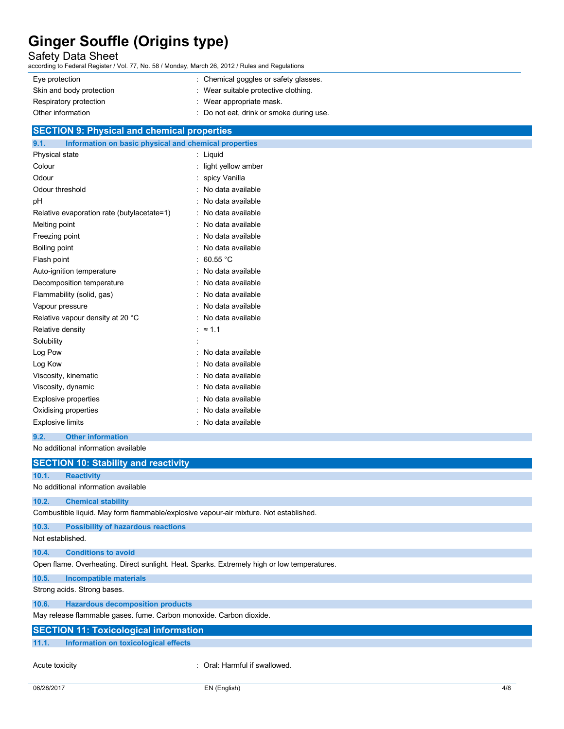Safety Data Sheet

according to Federal Register / Vol. 77, No. 58 / Monday, March 26, 2012 / Rules and Regulations

| : Wear suitable protective clothing.<br>Skin and body protection | : Chemical goggles or safety glasses. | Eye protection         |
|------------------------------------------------------------------|---------------------------------------|------------------------|
|                                                                  |                                       |                        |
|                                                                  | : Wear appropriate mask.              | Respiratory protection |
| : Do not eat, drink or smoke during use.<br>Other information    |                                       |                        |

# **SECTION 9: Physical and chemical properties**

| 9.1.<br>Information on basic physical and chemical properties |                        |
|---------------------------------------------------------------|------------------------|
| Physical state                                                | Liquid                 |
| Colour                                                        | light yellow amber     |
| Odour                                                         | spicy Vanilla          |
| Odour threshold                                               | No data available      |
| рH                                                            | No data available      |
| Relative evaporation rate (butylacetate=1)                    | No data available      |
| Melting point                                                 | No data available      |
| Freezing point                                                | No data available      |
| Boiling point                                                 | No data available      |
| Flash point                                                   | 60.55 $°C$<br>t        |
| Auto-ignition temperature                                     | No data available      |
| Decomposition temperature                                     | No data available<br>۰ |
| Flammability (solid, gas)                                     | No data available      |
| Vapour pressure                                               | No data available      |
| Relative vapour density at 20 °C                              | No data available      |
| Relative density                                              | $\approx$ 1.1          |
| Solubility                                                    |                        |
| Log Pow                                                       | No data available      |
| Log Kow                                                       | No data available      |
| Viscosity, kinematic                                          | No data available      |
| Viscosity, dynamic                                            | No data available      |
| <b>Explosive properties</b>                                   | No data available      |
| Oxidising properties                                          | No data available      |
| <b>Explosive limits</b>                                       | No data available      |

**9.2. Other information** 

No additional information available

|                  | <b>SECTION 10: Stability and reactivity</b>                                                 |
|------------------|---------------------------------------------------------------------------------------------|
| 10.1.            | <b>Reactivity</b>                                                                           |
|                  | No additional information available                                                         |
| 10.2.            | <b>Chemical stability</b>                                                                   |
|                  | Combustible liquid. May form flammable/explosive vapour-air mixture. Not established.       |
| 10.3.            | <b>Possibility of hazardous reactions</b>                                                   |
| Not established. |                                                                                             |
| 10.4.            | <b>Conditions to avoid</b>                                                                  |
|                  | Open flame. Overheating. Direct sunlight. Heat. Sparks. Extremely high or low temperatures. |
| 10.5.            | <b>Incompatible materials</b>                                                               |
|                  | Strong acids. Strong bases.                                                                 |
| 10.6.            | <b>Hazardous decomposition products</b>                                                     |
|                  | May release flammable gases. fume. Carbon monoxide. Carbon dioxide.                         |
|                  | <b>SECTION 11: Toxicological information</b>                                                |
| 11.1.            | Information on toxicological effects                                                        |
|                  |                                                                                             |

Acute toxicity **in the case of the Caucasian Constanting Constanting Constanting Constanting Constanting Constanting Constanting Constanting Constanting Constanting Constanting Constanting Constanting Constanting Constanti**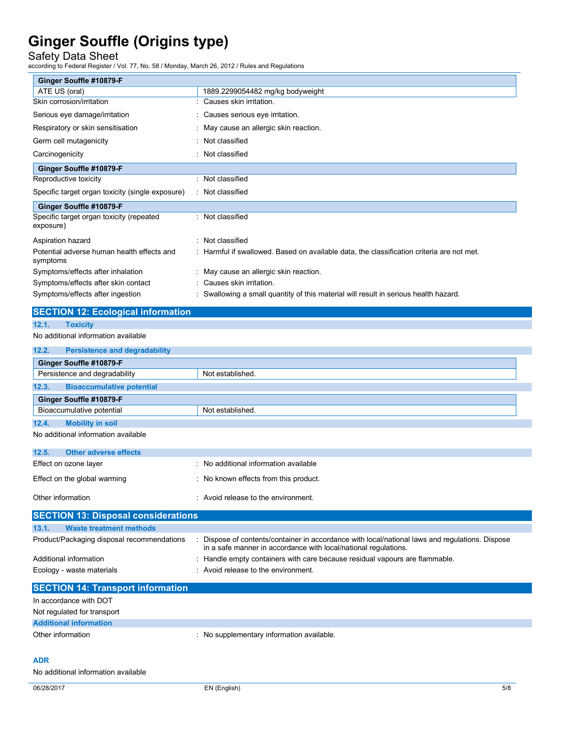Safety Data Sheet

according to Federal Register / Vol. 77, No. 58 / Monday, March 26, 2012 / Rules and Regulations

| Ginger Souffle #10879-F                                |                                                                                                                                                                    |
|--------------------------------------------------------|--------------------------------------------------------------------------------------------------------------------------------------------------------------------|
| ATE US (oral)                                          | 1889.2299054482 mg/kg bodyweight                                                                                                                                   |
| Skin corrosion/irritation                              | Causes skin irritation.                                                                                                                                            |
| Serious eye damage/irritation                          | Causes serious eye irritation.                                                                                                                                     |
| Respiratory or skin sensitisation                      | May cause an allergic skin reaction.                                                                                                                               |
| Germ cell mutagenicity                                 | Not classified                                                                                                                                                     |
| Carcinogenicity                                        | Not classified                                                                                                                                                     |
| Ginger Souffle #10879-F                                |                                                                                                                                                                    |
| Reproductive toxicity                                  | Not classified                                                                                                                                                     |
| Specific target organ toxicity (single exposure)       | Not classified                                                                                                                                                     |
| Ginger Souffle #10879-F                                |                                                                                                                                                                    |
| Specific target organ toxicity (repeated<br>exposure)  | : Not classified                                                                                                                                                   |
| Aspiration hazard                                      | Not classified                                                                                                                                                     |
| Potential adverse human health effects and<br>symptoms | Harmful if swallowed. Based on available data, the classification criteria are not met.                                                                            |
| Symptoms/effects after inhalation                      | May cause an allergic skin reaction.                                                                                                                               |
| Symptoms/effects after skin contact                    | Causes skin irritation.                                                                                                                                            |
| Symptoms/effects after ingestion                       | : Swallowing a small quantity of this material will result in serious health hazard.                                                                               |
| <b>SECTION 12: Ecological information</b>              |                                                                                                                                                                    |
| 12.1.<br><b>Toxicity</b>                               |                                                                                                                                                                    |
| No additional information available                    |                                                                                                                                                                    |
| 12.2.<br><b>Persistence and degradability</b>          |                                                                                                                                                                    |
| Ginger Souffle #10879-F                                |                                                                                                                                                                    |
| Persistence and degradability                          | Not established.                                                                                                                                                   |
| 12.3.<br><b>Bioaccumulative potential</b>              |                                                                                                                                                                    |
| Ginger Souffle #10879-F                                |                                                                                                                                                                    |
| Bioaccumulative potential                              | Not established.                                                                                                                                                   |
| <b>Mobility in soil</b><br>12.4.                       |                                                                                                                                                                    |
| No additional information available                    |                                                                                                                                                                    |
| 12.5.<br><b>Other adverse effects</b>                  |                                                                                                                                                                    |
| Effect on ozone layer                                  | : No additional information available                                                                                                                              |
| Effect on the global warming                           | No known effects from this product.                                                                                                                                |
|                                                        |                                                                                                                                                                    |
| Other information                                      | : Avoid release to the environment.                                                                                                                                |
| <b>SECTION 13: Disposal considerations</b>             |                                                                                                                                                                    |
| <b>Waste treatment methods</b><br>13.1.                |                                                                                                                                                                    |
| Product/Packaging disposal recommendations             | : Dispose of contents/container in accordance with local/national laws and regulations. Dispose<br>in a safe manner in accordance with local/national regulations. |

Ecology - waste materials **Ecology** - waste materials **interval** : Avoid release to the environment. **SECTION 14: Transport information**  In accordance with DOT Not regulated for transport **Additional information**  Other information **contains the contact of the contact of the contact of the contact of the contact of the contact of the contact of the contact of the contact of the contact of the contact of the contact of the contact of** 

### **ADR**

No additional information available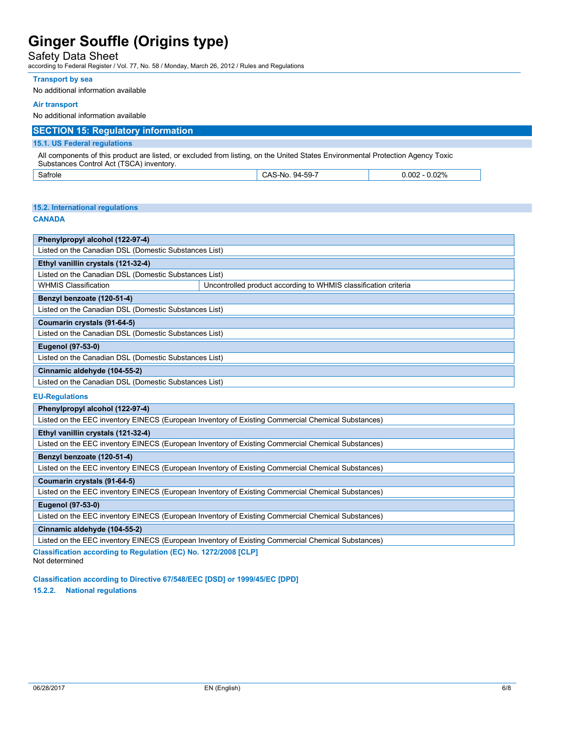## Safety Data Sheet

according to Federal Register / Vol. 77, No. 58 / Monday, March 26, 2012 / Rules and Regulations

#### **Transport by sea**

No additional information available

#### **Air transport**

No additional information available

### **SECTION 15: Regulatory information**

#### **15.1. US Federal regulations**

All components of this product are listed, or excluded from listing, on the United States Environmental Protection Agency Toxic Substances Control Act (TSCA) inventory.

| $\overline{\phantom{0}}$<br>Satrole | --50-7<br>94-<br>۸۰<br>S-No<br>UAJ<br>⊸ت | 0.02%<br>0.005<br>v.vvz |
|-------------------------------------|------------------------------------------|-------------------------|
| _ _ _                               |                                          | .<br>.                  |

#### **15.2. International regulations**

#### **CANADA**

| Phenylpropyl alcohol (122-97-4)                       |                                                                 |  |
|-------------------------------------------------------|-----------------------------------------------------------------|--|
| Listed on the Canadian DSL (Domestic Substances List) |                                                                 |  |
| Ethyl vanillin crystals (121-32-4)                    |                                                                 |  |
| Listed on the Canadian DSL (Domestic Substances List) |                                                                 |  |
| <b>WHMIS Classification</b>                           | Uncontrolled product according to WHMIS classification criteria |  |
| Benzyl benzoate (120-51-4)                            |                                                                 |  |
| Listed on the Canadian DSL (Domestic Substances List) |                                                                 |  |
| Coumarin crystals (91-64-5)                           |                                                                 |  |
| Listed on the Canadian DSL (Domestic Substances List) |                                                                 |  |
| <b>Eugenol (97-53-0)</b>                              |                                                                 |  |
| Listed on the Canadian DSL (Domestic Substances List) |                                                                 |  |
| Cinnamic aldehyde (104-55-2)                          |                                                                 |  |
| Listed on the Canadian DSL (Domestic Substances List) |                                                                 |  |

#### **EU-Regulations**

Listed on the EEC inventory EINECS (European Inventory of Existing Commercial Chemical Substances)

#### **Ethyl vanillin crystals (121-32-4)**

Listed on the EEC inventory EINECS (European Inventory of Existing Commercial Chemical Substances)

### **Benzyl benzoate (120-51-4)**

Listed on the EEC inventory EINECS (European Inventory of Existing Commercial Chemical Substances)

### **Coumarin crystals (91-64-5)**

Listed on the EEC inventory EINECS (European Inventory of Existing Commercial Chemical Substances)

### **Eugenol (97-53-0)**

Listed on the EEC inventory EINECS (European Inventory of Existing Commercial Chemical Substances)

#### **Cinnamic aldehyde (104-55-2)**

Listed on the EEC inventory EINECS (European Inventory of Existing Commercial Chemical Substances)

**Classification according to Regulation (EC) No. 1272/2008 [CLP]**  Not determined

**Classification according to Directive 67/548/EEC [DSD] or 1999/45/EC [DPD]** 

**15.2.2. National regulations**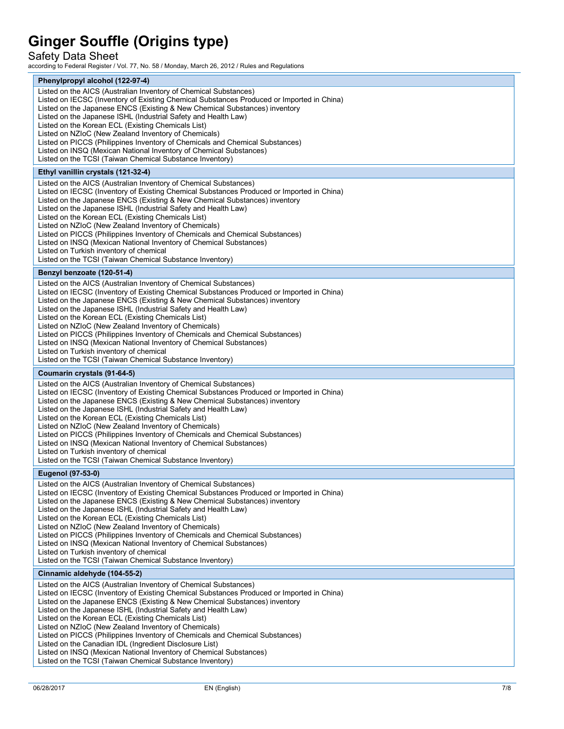Safety Data Sheet

according to Federal Register / Vol. 77, No. 58 / Monday, March 26, 2012 / Rules and Regulations

| Phenylpropyl alcohol (122-97-4)                                                                                                                                         |  |
|-------------------------------------------------------------------------------------------------------------------------------------------------------------------------|--|
| Listed on the AICS (Australian Inventory of Chemical Substances)                                                                                                        |  |
| Listed on IECSC (Inventory of Existing Chemical Substances Produced or Imported in China)<br>Listed on the Japanese ENCS (Existing & New Chemical Substances) inventory |  |
| Listed on the Japanese ISHL (Industrial Safety and Health Law)                                                                                                          |  |
| Listed on the Korean ECL (Existing Chemicals List)                                                                                                                      |  |
| Listed on NZIoC (New Zealand Inventory of Chemicals)                                                                                                                    |  |
| Listed on PICCS (Philippines Inventory of Chemicals and Chemical Substances)                                                                                            |  |
| Listed on INSQ (Mexican National Inventory of Chemical Substances)<br>Listed on the TCSI (Taiwan Chemical Substance Inventory)                                          |  |
|                                                                                                                                                                         |  |
| Ethyl vanillin crystals (121-32-4)                                                                                                                                      |  |
| Listed on the AICS (Australian Inventory of Chemical Substances)                                                                                                        |  |
| Listed on IECSC (Inventory of Existing Chemical Substances Produced or Imported in China)<br>Listed on the Japanese ENCS (Existing & New Chemical Substances) inventory |  |
| Listed on the Japanese ISHL (Industrial Safety and Health Law)                                                                                                          |  |
| Listed on the Korean ECL (Existing Chemicals List)                                                                                                                      |  |
| Listed on NZIoC (New Zealand Inventory of Chemicals)                                                                                                                    |  |
| Listed on PICCS (Philippines Inventory of Chemicals and Chemical Substances)                                                                                            |  |
| Listed on INSQ (Mexican National Inventory of Chemical Substances)<br>Listed on Turkish inventory of chemical                                                           |  |
| Listed on the TCSI (Taiwan Chemical Substance Inventory)                                                                                                                |  |
| Benzyl benzoate (120-51-4)                                                                                                                                              |  |
| Listed on the AICS (Australian Inventory of Chemical Substances)                                                                                                        |  |
| Listed on IECSC (Inventory of Existing Chemical Substances Produced or Imported in China)                                                                               |  |
| Listed on the Japanese ENCS (Existing & New Chemical Substances) inventory                                                                                              |  |
| Listed on the Japanese ISHL (Industrial Safety and Health Law)                                                                                                          |  |
| Listed on the Korean ECL (Existing Chemicals List)                                                                                                                      |  |
| Listed on NZIoC (New Zealand Inventory of Chemicals)<br>Listed on PICCS (Philippines Inventory of Chemicals and Chemical Substances)                                    |  |
| Listed on INSQ (Mexican National Inventory of Chemical Substances)                                                                                                      |  |
| Listed on Turkish inventory of chemical                                                                                                                                 |  |
| Listed on the TCSI (Taiwan Chemical Substance Inventory)                                                                                                                |  |
| Coumarin crystals (91-64-5)                                                                                                                                             |  |
| Listed on the AICS (Australian Inventory of Chemical Substances)                                                                                                        |  |
| Listed on IECSC (Inventory of Existing Chemical Substances Produced or Imported in China)                                                                               |  |
| Listed on the Japanese ENCS (Existing & New Chemical Substances) inventory<br>Listed on the Japanese ISHL (Industrial Safety and Health Law)                            |  |
| Listed on the Korean ECL (Existing Chemicals List)                                                                                                                      |  |
| Listed on NZIoC (New Zealand Inventory of Chemicals)                                                                                                                    |  |
| Listed on PICCS (Philippines Inventory of Chemicals and Chemical Substances)                                                                                            |  |
| Listed on INSQ (Mexican National Inventory of Chemical Substances)                                                                                                      |  |
| Listed on Turkish inventory of chemical<br>Listed on the TCSI (Taiwan Chemical Substance Inventory)                                                                     |  |
|                                                                                                                                                                         |  |
| <b>Eugenol (97-53-0)</b>                                                                                                                                                |  |
| Listed on the AICS (Australian Inventory of Chemical Substances)<br>Listed on IECSC (Inventory of Existing Chemical Substances Produced or Imported in China)           |  |
| Listed on the Japanese ENCS (Existing & New Chemical Substances) inventory                                                                                              |  |
| Listed on the Japanese ISHL (Industrial Safety and Health Law)                                                                                                          |  |
| Listed on the Korean ECL (Existing Chemicals List)                                                                                                                      |  |
| Listed on NZIoC (New Zealand Inventory of Chemicals)                                                                                                                    |  |
| Listed on PICCS (Philippines Inventory of Chemicals and Chemical Substances)<br>Listed on INSQ (Mexican National Inventory of Chemical Substances)                      |  |
| Listed on Turkish inventory of chemical                                                                                                                                 |  |
| Listed on the TCSI (Taiwan Chemical Substance Inventory)                                                                                                                |  |
| Cinnamic aldehyde (104-55-2)                                                                                                                                            |  |
| Listed on the AICS (Australian Inventory of Chemical Substances)                                                                                                        |  |
| Listed on IECSC (Inventory of Existing Chemical Substances Produced or Imported in China)                                                                               |  |
| Listed on the Japanese ENCS (Existing & New Chemical Substances) inventory<br>Listed on the Japanese ISHL (Industrial Safety and Health Law)                            |  |
| Listed on the Korean ECL (Existing Chemicals List)                                                                                                                      |  |
| Listed on NZIoC (New Zealand Inventory of Chemicals)                                                                                                                    |  |
| Listed on PICCS (Philippines Inventory of Chemicals and Chemical Substances)                                                                                            |  |
| Listed on the Canadian IDL (Ingredient Disclosure List)                                                                                                                 |  |
| Listed on INSQ (Mexican National Inventory of Chemical Substances)<br>Listed on the TCSI (Taiwan Chemical Substance Inventory)                                          |  |
|                                                                                                                                                                         |  |